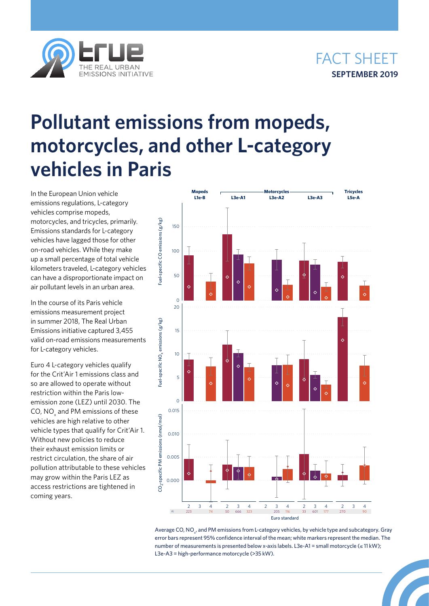



## **Pollutant emissions from mopeds, motorcycles, and other L-category vehicles in Paris**

In the European Union vehicle emissions regulations, L-category vehicles comprise mopeds, motorcycles, and tricycles, primarily. Emissions standards for L-category vehicles have lagged those for other on-road vehicles. While they make up a small percentage of total vehicle kilometers traveled, L-category vehicles can have a disproportionate impact on air pollutant levels in an urban area.

In the course of its Paris vehicle emissions measurement project in summer 2018, The Real Urban Emissions initiative captured 3,455 valid on-road emissions measurements for L-category vehicles.

Euro 4 L-category vehicles qualify for the Crit'Air 1 emissions class and so are allowed to operate without restriction within the Paris lowemission zone (LEZ) until 2030. The CO, NO $_{\mathsf{x}}$  and PM emissions of these vehicles are high relative to other vehicle types that qualify for Crit'Air 1. Without new policies to reduce their exhaust emission limits or restrict circulation, the share of air pollution attributable to these vehicles may grow within the Paris LEZ as access restrictions are tightened in coming years.



Average CO, NO<sub>x</sub>, and PM emissions from L-category vehicles, by vehicle type and subcategory. Gray error bars represent 95% confidence interval of the mean; white markers represent the median. The number of measurements is presented below x-axis labels. L3e-A1 = small motorcycle (≤ 11 kW); L3e-A3 = high-performance motorcycle (>35 kW).